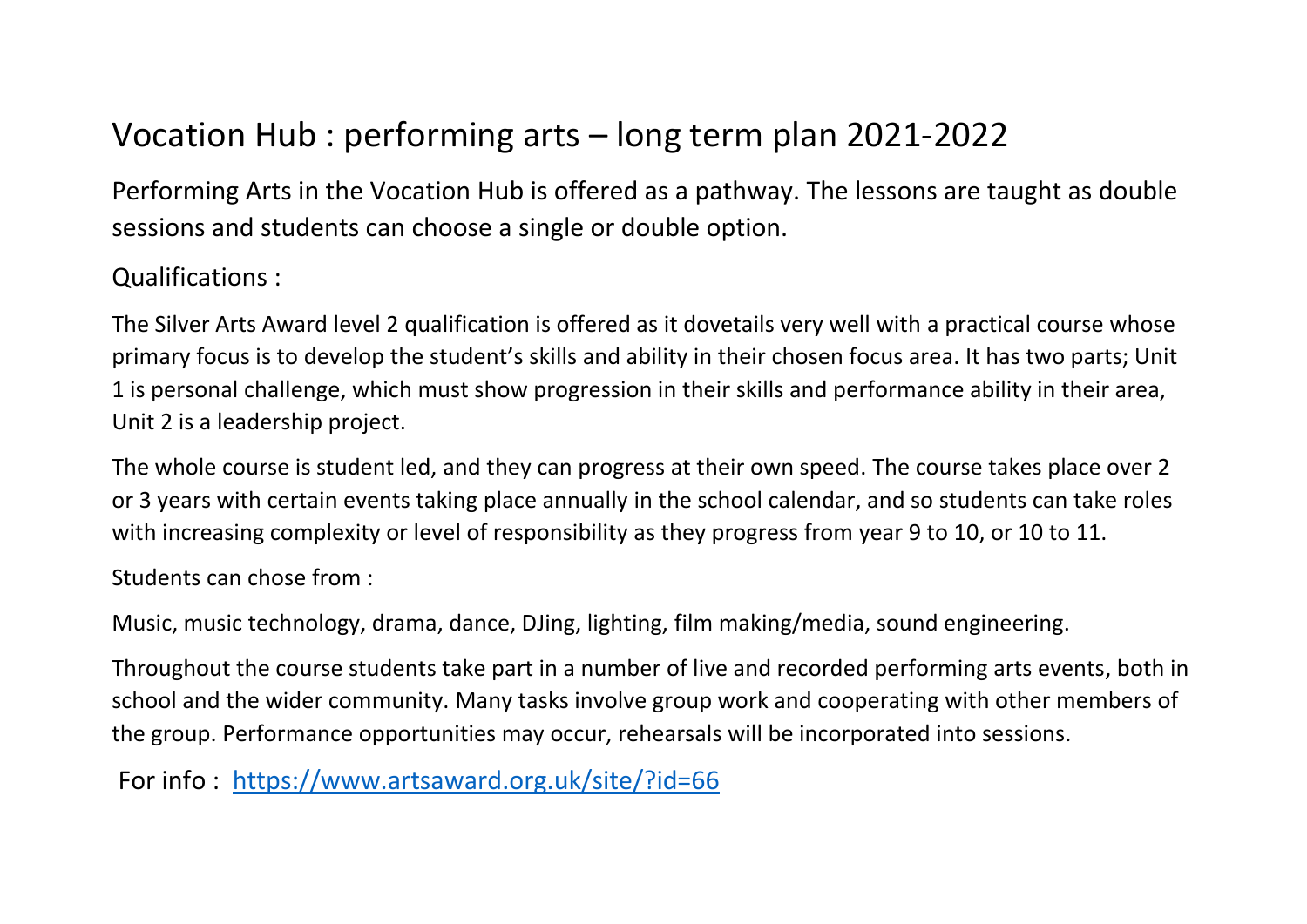## Vocation Hub : performing arts – long term plan 2021-2022

Performing Arts in the Vocation Hub is offered as a pathway. The lessons are taught as double sessions and students can choose a single or double option.

### Qualifications :

The Silver Arts Award level 2 qualification is offered as it dovetails very well with a practical course whose primary focus is to develop the student's skills and ability in their chosen focus area. It has two parts; Unit 1 is personal challenge, which must show progression in their skills and performance ability in their area, Unit 2 is a leadership project.

The whole course is student led, and they can progress at their own speed. The course takes place over 2 or 3 years with certain events taking place annually in the school calendar, and so students can take roles with increasing complexity or level of responsibility as they progress from year 9 to 10, or 10 to 11.

Students can chose from :

Music, music technology, drama, dance, DJing, lighting, film making/media, sound engineering.

Throughout the course students take part in a number of live and recorded performing arts events, both in school and the wider community. Many tasks involve group work and cooperating with other members of the group. Performance opportunities may occur, rehearsals will be incorporated into sessions.

For info : <https://www.artsaward.org.uk/site/?id=66>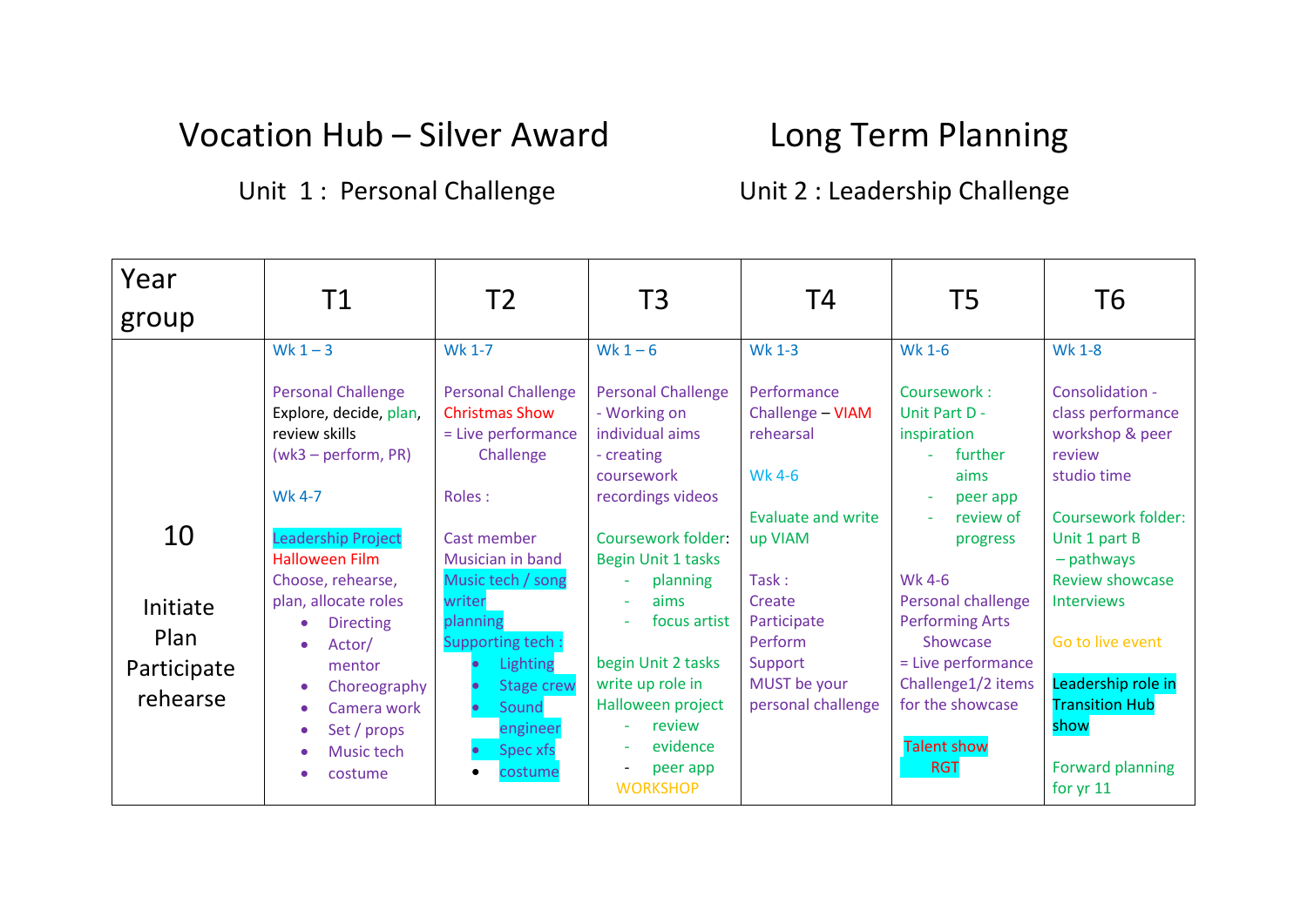## Vocation Hub - Silver Award Long Term Planning

### Unit 1: Personal Challenge **Unit 2: Leadership Challenge**

| Year<br>group                                     | Τ1                                                                                                                                                                                                                                                                                                                                                                                                       | T2                                                                                                                                                                                                                                                                                              | T3                                                                                                                                                                                                                                                                                                                            | Τ4                                                                                                                                                                                                            | T5                                                                                                                                                                                                                                                                                                            | Т6                                                                                                                                                                                                                                                                                                                         |
|---------------------------------------------------|----------------------------------------------------------------------------------------------------------------------------------------------------------------------------------------------------------------------------------------------------------------------------------------------------------------------------------------------------------------------------------------------------------|-------------------------------------------------------------------------------------------------------------------------------------------------------------------------------------------------------------------------------------------------------------------------------------------------|-------------------------------------------------------------------------------------------------------------------------------------------------------------------------------------------------------------------------------------------------------------------------------------------------------------------------------|---------------------------------------------------------------------------------------------------------------------------------------------------------------------------------------------------------------|---------------------------------------------------------------------------------------------------------------------------------------------------------------------------------------------------------------------------------------------------------------------------------------------------------------|----------------------------------------------------------------------------------------------------------------------------------------------------------------------------------------------------------------------------------------------------------------------------------------------------------------------------|
| 10<br>Initiate<br>Plan<br>Participate<br>rehearse | Wk $1 - 3$<br><b>Personal Challenge</b><br>Explore, decide, plan,<br>review skills<br>$(wk3 - perform, PR)$<br><b>Wk 4-7</b><br>Leadership Project<br><b>Halloween Film</b><br>Choose, rehearse,<br>plan, allocate roles<br><b>Directing</b><br>$\bullet$<br>Actor/<br>$\bullet$<br>mentor<br>Choreography<br>Camera work<br>$\bullet$<br>Set / props<br>$\bullet$<br>Music tech<br>costume<br>$\bullet$ | <b>Wk 1-7</b><br><b>Personal Challenge</b><br><b>Christmas Show</b><br>= Live performance<br>Challenge<br>Roles:<br>Cast member<br>Musician in band<br>Music tech / song<br>writer<br>planning<br>Supporting tech:<br>Lighting<br><b>Stage crew</b><br>Sound<br>engineer<br>Spec xfs<br>costume | Wk $1-6$<br><b>Personal Challenge</b><br>- Working on<br>individual aims<br>- creating<br>coursework<br>recordings videos<br>Coursework folder:<br>Begin Unit 1 tasks<br>planning<br>aims<br>focus artist<br>begin Unit 2 tasks<br>write up role in<br>Halloween project<br>review<br>evidence<br>peer app<br><b>WORKSHOP</b> | <b>Wk 1-3</b><br>Performance<br>Challenge - VIAM<br>rehearsal<br>Wk 4-6<br><b>Evaluate and write</b><br>up VIAM<br>Task:<br>Create<br>Participate<br>Perform<br>Support<br>MUST be your<br>personal challenge | <b>Wk 1-6</b><br>Coursework:<br>Unit Part D -<br>inspiration<br>further<br>aims<br>peer app<br>÷<br>review of<br>$\sim$<br>progress<br>Wk 4-6<br>Personal challenge<br><b>Performing Arts</b><br>Showcase<br>= Live performance<br>Challenge1/2 items<br>for the showcase<br><b>Talent show</b><br><b>RGT</b> | <b>Wk 1-8</b><br>Consolidation -<br>class performance<br>workshop & peer<br>review<br>studio time<br>Coursework folder:<br>Unit 1 part B<br>- pathways<br><b>Review showcase</b><br><b>Interviews</b><br>Go to live event<br>Leadership role in<br><b>Transition Hub</b><br>show<br><b>Forward planning</b><br>for $yr$ 11 |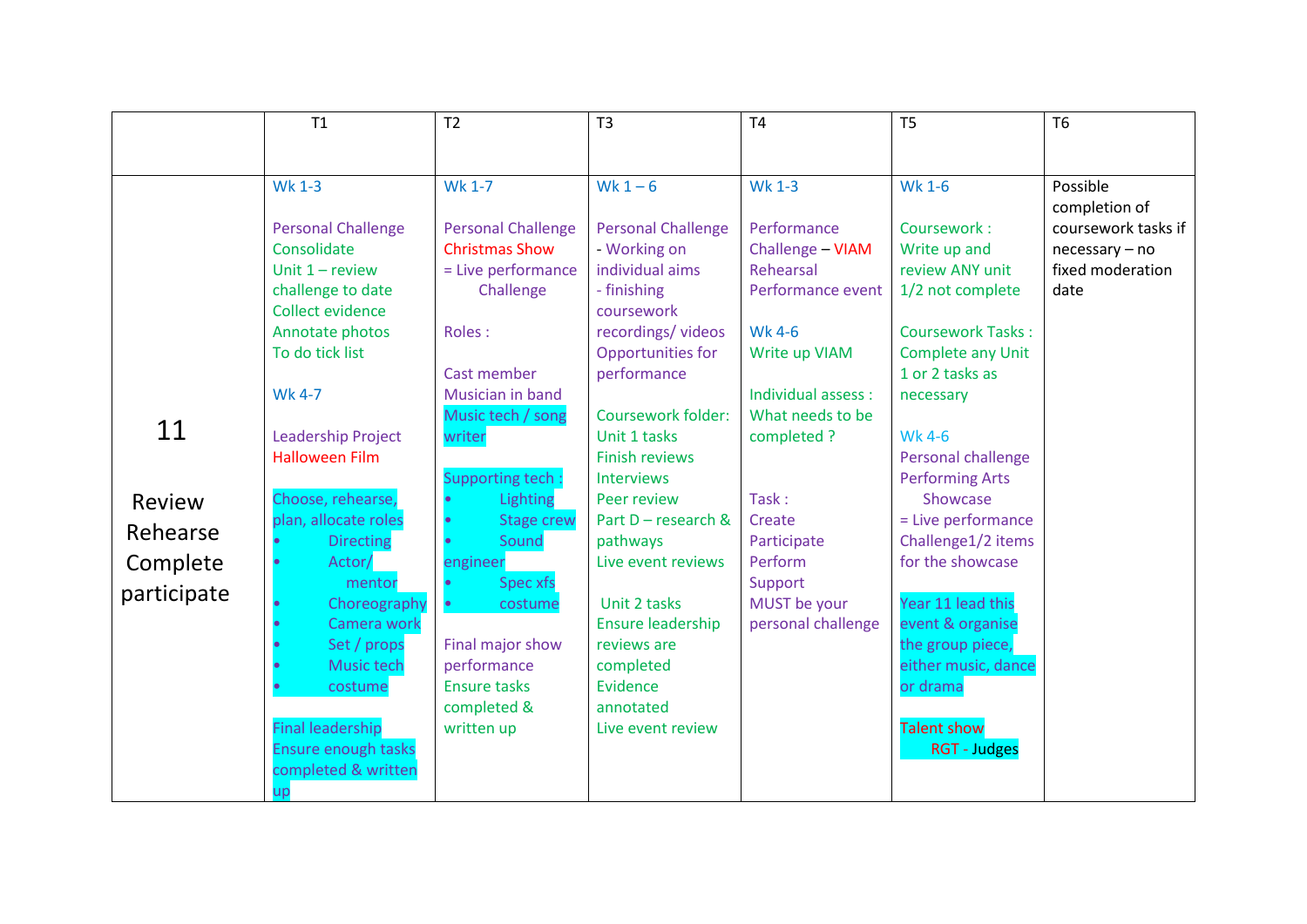|             | T1                                                | T <sub>2</sub>            | T3                        | T <sub>4</sub>      | T <sub>5</sub>           | <b>T6</b>                            |
|-------------|---------------------------------------------------|---------------------------|---------------------------|---------------------|--------------------------|--------------------------------------|
|             |                                                   |                           |                           |                     |                          |                                      |
|             |                                                   |                           |                           |                     |                          |                                      |
|             | <b>Wk 1-3</b>                                     | Wk 1-7                    | Wk $1-6$                  | <b>Wk 1-3</b>       | <b>Wk 1-6</b>            | Possible<br>completion of            |
|             | <b>Personal Challenge</b>                         | <b>Personal Challenge</b> | <b>Personal Challenge</b> | Performance         | Coursework:              | coursework tasks if                  |
|             | Consolidate                                       | <b>Christmas Show</b>     | - Working on              | Challenge - VIAM    | Write up and             |                                      |
|             | Unit $1 -$ review                                 | = Live performance        | individual aims           | Rehearsal           | review ANY unit          | $necessary - no$<br>fixed moderation |
|             | challenge to date                                 | Challenge                 | - finishing               | Performance event   | 1/2 not complete         | date                                 |
|             | Collect evidence                                  |                           | coursework                |                     |                          |                                      |
|             | Annotate photos                                   | Roles:                    | recordings/ videos        | <b>Wk 4-6</b>       | <b>Coursework Tasks:</b> |                                      |
|             | To do tick list                                   |                           | Opportunities for         | Write up VIAM       | Complete any Unit        |                                      |
|             |                                                   | Cast member               | performance               |                     | 1 or 2 tasks as          |                                      |
|             | <b>Wk 4-7</b>                                     | Musician in band          |                           | Individual assess : | necessary                |                                      |
|             |                                                   | Music tech / song         | <b>Coursework folder:</b> | What needs to be    |                          |                                      |
| 11          | <b>Leadership Project</b>                         | writer                    | Unit 1 tasks              | completed ?         | <b>Wk 4-6</b>            |                                      |
|             | <b>Halloween Film</b>                             |                           | <b>Finish reviews</b>     |                     | Personal challenge       |                                      |
|             |                                                   | <b>Supporting tech:</b>   | <b>Interviews</b>         |                     | <b>Performing Arts</b>   |                                      |
| Review      | Choose, rehearse,                                 | Lighting                  | Peer review               | Task:               | Showcase                 |                                      |
|             | plan, allocate roles                              | <b>Stage crew</b>         | Part D - research &       | Create              | = Live performance       |                                      |
| Rehearse    | <b>Directing</b>                                  | Sound                     | pathways                  | Participate         | Challenge1/2 items       |                                      |
| Complete    | Actor/                                            | engineer                  | Live event reviews        | Perform             | for the showcase         |                                      |
| participate | mentor                                            | <b>Spec xfs</b>           |                           | Support             |                          |                                      |
|             | Choreography                                      | costume                   | Unit 2 tasks              | MUST be your        | Year 11 lead this        |                                      |
|             | Camera work                                       |                           | <b>Ensure leadership</b>  | personal challenge  | event & organise         |                                      |
|             | Set / props                                       | Final major show          | reviews are               |                     | the group piece,         |                                      |
|             | Music tech                                        | performance               | completed                 |                     | either music, dance      |                                      |
|             | costume                                           | <b>Ensure tasks</b>       | Evidence                  |                     | or drama                 |                                      |
|             |                                                   | completed &               | annotated                 |                     |                          |                                      |
|             | <b>Final leadership</b>                           | written up                | Live event review         |                     | Talent show              |                                      |
|             | <b>Ensure enough tasks</b><br>completed & written |                           |                           |                     | <b>RGT - Judges</b>      |                                      |
|             |                                                   |                           |                           |                     |                          |                                      |
|             |                                                   |                           |                           |                     |                          |                                      |